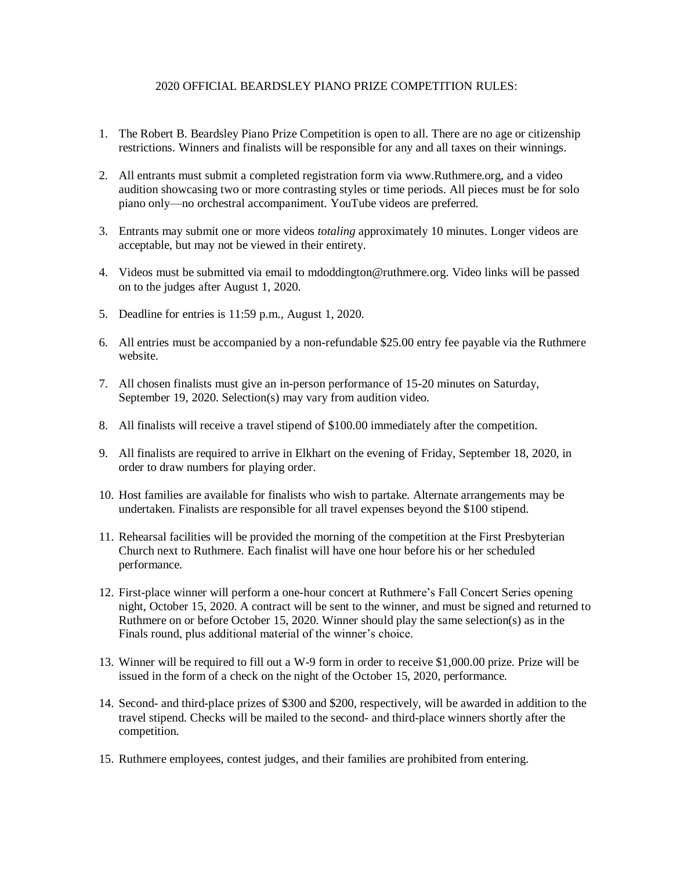## 2020 OFFICIAL BEARDSLEY PIANO PRIZE COMPETITION RULES:

- 1. The Robert B. Beardsley Piano Prize Competition is open to all. There are no age or citizenship restrictions. Winners and finalists will be responsible for any and all taxes on their winnings.
- 2. All entrants must submit a completed registration form via www.Ruthmere.org, and a video audition showcasing two or more contrasting styles or time periods. All pieces must be for solo piano only—no orchestral accompaniment. YouTube videos are preferred.
- 3. Entrants may submit one or more videos *totaling* approximately 10 minutes. Longer videos are acceptable, but may not be viewed in their entirety.
- 4. Videos must be submitted via email to mdoddington@ruthmere.org. Video links will be passed on to the judges after August 1, 2020.
- 5. Deadline for entries is 11:59 p.m., August 1, 2020.
- 6. All entries must be accompanied by a non-refundable \$25.00 entry fee payable via the Ruthmere website.
- 7. All chosen finalists must give an in-person performance of 15-20 minutes on Saturday, September 19, 2020. Selection(s) may vary from audition video.
- 8. All finalists will receive a travel stipend of \$100.00 immediately after the competition.
- 9. All finalists are required to arrive in Elkhart on the evening of Friday, September 18, 2020, in order to draw numbers for playing order.
- 10. Host families are available for finalists who wish to partake. Alternate arrangements may be undertaken. Finalists are responsible for all travel expenses beyond the \$100 stipend.
- 11. Rehearsal facilities will be provided the morning of the competition at the First Presbyterian Church next to Ruthmere. Each finalist will have one hour before his or her scheduled performance.
- 12. First-place winner will perform a one-hour concert at Ruthmere's Fall Concert Series opening night, October 15, 2020. A contract will be sent to the winner, and must be signed and returned to Ruthmere on or before October 15, 2020. Winner should play the same selection(s) as in the Finals round, plus additional material of the winner's choice.
- 13. Winner will be required to fill out a W-9 form in order to receive \$1,000.00 prize. Prize will be issued in the form of a check on the night of the October 15, 2020, performance.
- 14. Second- and third-place prizes of \$300 and \$200, respectively, will be awarded in addition to the travel stipend. Checks will be mailed to the second- and third-place winners shortly after the competition.
- 15. Ruthmere employees, contest judges, and their families are prohibited from entering.